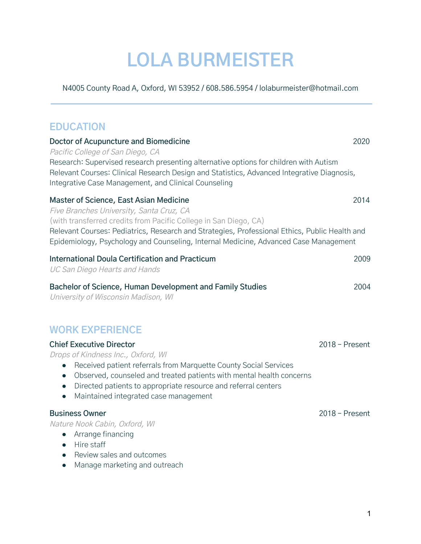# **LOLA BURMEISTER**

N4005 County Road A, Oxford, WI 53952 / 608.586.5954 / lolaburmeister@hotmail.com

# **EDUCATION**

| <b>Doctor of Acupuncture and Biomedicine</b><br>Pacific College of San Diego, CA<br>Research: Supervised research presenting alternative options for children with Autism<br>Relevant Courses: Clinical Research Design and Statistics, Advanced Integrative Diagnosis,<br>Integrative Case Management, and Clinical Counseling                                                  | 2020             |
|----------------------------------------------------------------------------------------------------------------------------------------------------------------------------------------------------------------------------------------------------------------------------------------------------------------------------------------------------------------------------------|------------------|
| Master of Science, East Asian Medicine<br>Five Branches University, Santa Cruz, CA<br>(with transferred credits from Pacific College in San Diego, CA)<br>Relevant Courses: Pediatrics, Research and Strategies, Professional Ethics, Public Health and<br>Epidemiology, Psychology and Counseling, Internal Medicine, Advanced Case Management                                  | 2014             |
| International Doula Certification and Practicum<br><b>UC San Diego Hearts and Hands</b>                                                                                                                                                                                                                                                                                          | 2009             |
| Bachelor of Science, Human Development and Family Studies<br>University of Wisconsin Madison, WI                                                                                                                                                                                                                                                                                 | 2004             |
| <b>WORK EXPERIENCE</b>                                                                                                                                                                                                                                                                                                                                                           |                  |
| <b>Chief Executive Director</b><br>Drops of Kindness Inc., Oxford, WI<br>Received patient referrals from Marquette County Social Services<br>$\bullet$<br>Observed, counseled and treated patients with mental health concerns<br>$\bullet$<br>Directed patients to appropriate resource and referral centers<br>$\bullet$<br>Maintained integrated case management<br>$\bullet$ | $2018$ – Present |
| <b>Business Owner</b><br>Nature Nook Cabin, Oxford, WI<br>Arrange financing<br>Hire staff<br>$\bullet$                                                                                                                                                                                                                                                                           | $2018 -$ Present |

- Review sales and outcomes
- Manage marketing and outreach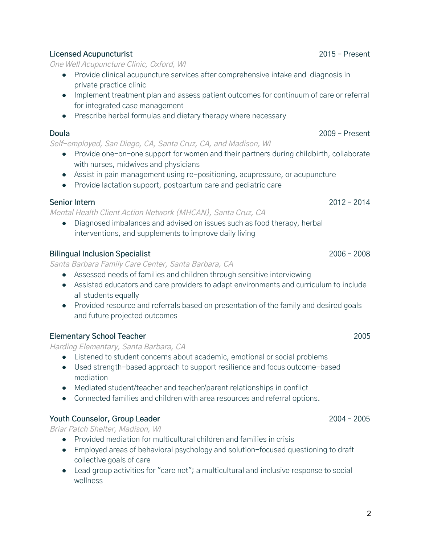#### **Licensed Acupuncturist** 2015 – Present

One Well Acupuncture Clinic, Oxford, WI

- Provide clinical acupuncture services after comprehensive intake and diagnosis in private practice clinic
- Implement treatment plan and assess patient outcomes for continuum of care or referral for integrated case management
- Prescribe herbal formulas and dietary therapy where necessary

#### **Doula** 2009 – Present

Self-employed, San Diego, CA, Santa Cruz, CA, and Madison, WI

- Provide one-on-one support for women and their partners during childbirth, collaborate with nurses, midwives and physicians
- Assist in pain management using re-positioning, acupressure, or acupuncture
- Provide lactation support, postpartum care and pediatric care

## **Senior Intern** 2012 – 2014

Mental Health Client Action Network (MHCAN), Santa Cruz, CA

● Diagnosed imbalances and advised on issues such as food therapy, herbal interventions, and supplements to improve daily living

## **Bilingual Inclusion Specialist** 2006 – 2008

Santa Barbara Family Care Center, Santa Barbara, CA

- Assessed needs of families and children through sensitive interviewing
- Assisted educators and care providers to adapt environments and curriculum to include all students equally
- Provided resource and referrals based on presentation of the family and desired goals and future projected outcomes

## **Elementary School Teacher** 2005

Harding Elementary, Santa Barbara, CA

- Listened to student concerns about academic, emotional or social problems
- Used strength-based approach to support resilience and focus outcome-based mediation
- Mediated student/teacher and teacher/parent relationships in conflict
- Connected families and children with area resources and referral options.

## **Youth Counselor, Group Leader** 2004 – 2005

Briar Patch Shelter, Madison, WI

- Provided mediation for multicultural children and families in crisis
- Employed areas of behavioral psychology and solution-focused questioning to draft collective goals of care
- Lead group activities for "care net"; a multicultural and inclusive response to social wellness